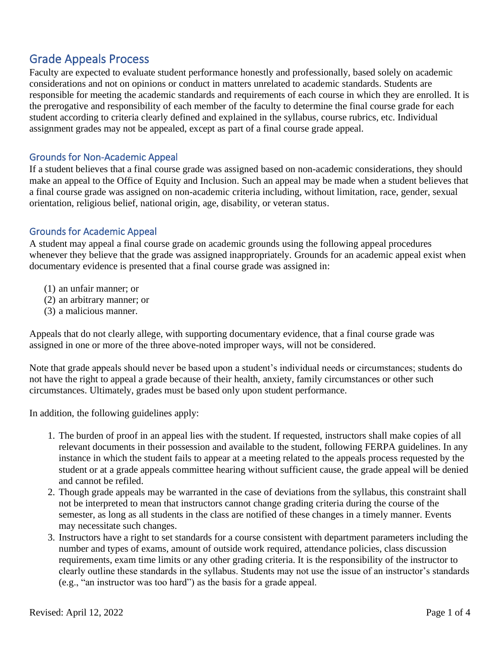# Grade Appeals Process

Faculty are expected to evaluate student performance honestly and professionally, based solely on academic considerations and not on opinions or conduct in matters unrelated to academic standards. Students are responsible for meeting the academic standards and requirements of each course in which they are enrolled. It is the prerogative and responsibility of each member of the faculty to determine the final course grade for each student according to criteria clearly defined and explained in the syllabus, course rubrics, etc. Individual assignment grades may not be appealed, except as part of a final course grade appeal.

## Grounds for Non-Academic Appeal

If a student believes that a final course grade was assigned based on non-academic considerations, they should make an appeal to the Office of Equity and Inclusion. Such an appeal may be made when a student believes that a final course grade was assigned on non-academic criteria including, without limitation, race, gender, sexual orientation, religious belief, national origin, age, disability, or veteran status.

## Grounds for Academic Appeal

A student may appeal a final course grade on academic grounds using the following appeal procedures whenever they believe that the grade was assigned inappropriately. Grounds for an academic appeal exist when documentary evidence is presented that a final course grade was assigned in:

- (1) an unfair manner; or
- (2) an arbitrary manner; or
- (3) a malicious manner.

Appeals that do not clearly allege, with supporting documentary evidence, that a final course grade was assigned in one or more of the three above-noted improper ways, will not be considered.

Note that grade appeals should never be based upon a student's individual needs or circumstances; students do not have the right to appeal a grade because of their health, anxiety, family circumstances or other such circumstances. Ultimately, grades must be based only upon student performance.

In addition, the following guidelines apply:

- 1. The burden of proof in an appeal lies with the student. If requested, instructors shall make copies of all relevant documents in their possession and available to the student, following FERPA guidelines. In any instance in which the student fails to appear at a meeting related to the appeals process requested by the student or at a grade appeals committee hearing without sufficient cause, the grade appeal will be denied and cannot be refiled.
- 2. Though grade appeals may be warranted in the case of deviations from the syllabus, this constraint shall not be interpreted to mean that instructors cannot change grading criteria during the course of the semester, as long as all students in the class are notified of these changes in a timely manner. Events may necessitate such changes.
- 3. Instructors have a right to set standards for a course consistent with department parameters including the number and types of exams, amount of outside work required, attendance policies, class discussion requirements, exam time limits or any other grading criteria. It is the responsibility of the instructor to clearly outline these standards in the syllabus. Students may not use the issue of an instructor's standards (e.g., "an instructor was too hard") as the basis for a grade appeal.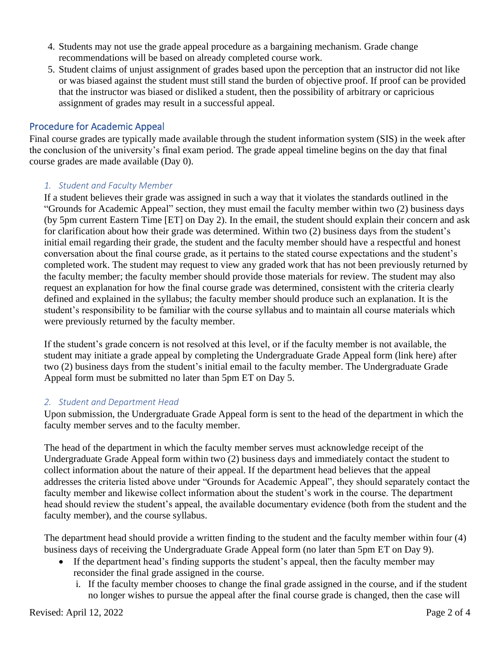- 4. Students may not use the grade appeal procedure as a bargaining mechanism. Grade change recommendations will be based on already completed course work.
- 5. Student claims of unjust assignment of grades based upon the perception that an instructor did not like or was biased against the student must still stand the burden of objective proof. If proof can be provided that the instructor was biased or disliked a student, then the possibility of arbitrary or capricious assignment of grades may result in a successful appeal.

## Procedure for Academic Appeal

Final course grades are typically made available through the student information system (SIS) in the week after the conclusion of the university's final exam period. The grade appeal timeline begins on the day that final course grades are made available (Day 0).

## *1. Student and Faculty Member*

If a student believes their grade was assigned in such a way that it violates the standards outlined in the "Grounds for Academic Appeal" section, they must email the faculty member within two (2) business days (by 5pm current Eastern Time [ET] on Day 2). In the email, the student should explain their concern and ask for clarification about how their grade was determined. Within two (2) business days from the student's initial email regarding their grade, the student and the faculty member should have a respectful and honest conversation about the final course grade, as it pertains to the stated course expectations and the student's completed work. The student may request to view any graded work that has not been previously returned by the faculty member; the faculty member should provide those materials for review. The student may also request an explanation for how the final course grade was determined, consistent with the criteria clearly defined and explained in the syllabus; the faculty member should produce such an explanation. It is the student's responsibility to be familiar with the course syllabus and to maintain all course materials which were previously returned by the faculty member.

If the student's grade concern is not resolved at this level, or if the faculty member is not available, the student may initiate a grade appeal by completing the Undergraduate Grade Appeal form (link here) after two (2) business days from the student's initial email to the faculty member. The Undergraduate Grade Appeal form must be submitted no later than 5pm ET on Day 5.

## *2. Student and Department Head*

Upon submission, the Undergraduate Grade Appeal form is sent to the head of the department in which the faculty member serves and to the faculty member.

The head of the department in which the faculty member serves must acknowledge receipt of the Undergraduate Grade Appeal form within two (2) business days and immediately contact the student to collect information about the nature of their appeal. If the department head believes that the appeal addresses the criteria listed above under "Grounds for Academic Appeal", they should separately contact the faculty member and likewise collect information about the student's work in the course. The department head should review the student's appeal, the available documentary evidence (both from the student and the faculty member), and the course syllabus.

The department head should provide a written finding to the student and the faculty member within four (4) business days of receiving the Undergraduate Grade Appeal form (no later than 5pm ET on Day 9).

- If the department head's finding supports the student's appeal, then the faculty member may reconsider the final grade assigned in the course.
	- i. If the faculty member chooses to change the final grade assigned in the course, and if the student no longer wishes to pursue the appeal after the final course grade is changed, then the case will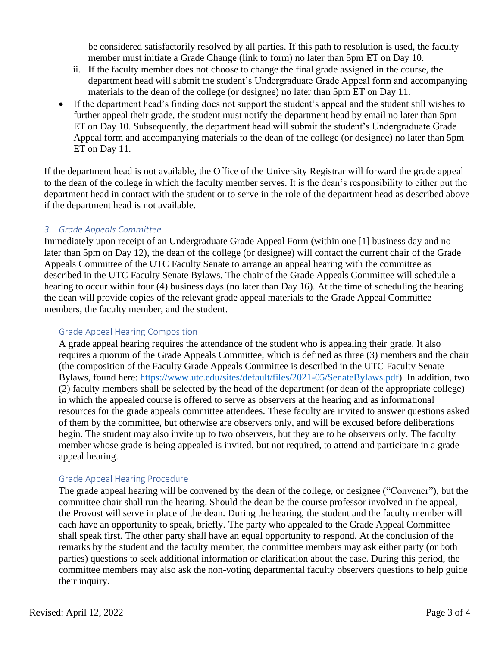be considered satisfactorily resolved by all parties. If this path to resolution is used, the faculty member must initiate a Grade Change (link to form) no later than 5pm ET on Day 10.

- ii. If the faculty member does not choose to change the final grade assigned in the course, the department head will submit the student's Undergraduate Grade Appeal form and accompanying materials to the dean of the college (or designee) no later than 5pm ET on Day 11.
- If the department head's finding does not support the student's appeal and the student still wishes to further appeal their grade, the student must notify the department head by email no later than 5pm ET on Day 10. Subsequently, the department head will submit the student's Undergraduate Grade Appeal form and accompanying materials to the dean of the college (or designee) no later than 5pm ET on Day 11.

If the department head is not available, the Office of the University Registrar will forward the grade appeal to the dean of the college in which the faculty member serves. It is the dean's responsibility to either put the department head in contact with the student or to serve in the role of the department head as described above if the department head is not available.

#### *3. Grade Appeals Committee*

Immediately upon receipt of an Undergraduate Grade Appeal Form (within one [1] business day and no later than 5pm on Day 12), the dean of the college (or designee) will contact the current chair of the Grade Appeals Committee of the UTC Faculty Senate to arrange an appeal hearing with the committee as described in the UTC Faculty Senate Bylaws. The chair of the Grade Appeals Committee will schedule a hearing to occur within four (4) business days (no later than Day 16). At the time of scheduling the hearing the dean will provide copies of the relevant grade appeal materials to the Grade Appeal Committee members, the faculty member, and the student.

#### Grade Appeal Hearing Composition

A grade appeal hearing requires the attendance of the student who is appealing their grade. It also requires a quorum of the Grade Appeals Committee, which is defined as three (3) members and the chair (the composition of the Faculty Grade Appeals Committee is described in the UTC Faculty Senate Bylaws, found here: [https://www.utc.edu/sites/default/files/2021-05/SenateBylaws.pdf\)](https://www.utc.edu/sites/default/files/2021-05/SenateBylaws.pdf). In addition, two (2) faculty members shall be selected by the head of the department (or dean of the appropriate college) in which the appealed course is offered to serve as observers at the hearing and as informational resources for the grade appeals committee attendees. These faculty are invited to answer questions asked of them by the committee, but otherwise are observers only, and will be excused before deliberations begin. The student may also invite up to two observers, but they are to be observers only. The faculty member whose grade is being appealed is invited, but not required, to attend and participate in a grade appeal hearing.

#### Grade Appeal Hearing Procedure

The grade appeal hearing will be convened by the dean of the college, or designee ("Convener"), but the committee chair shall run the hearing. Should the dean be the course professor involved in the appeal, the Provost will serve in place of the dean. During the hearing, the student and the faculty member will each have an opportunity to speak, briefly. The party who appealed to the Grade Appeal Committee shall speak first. The other party shall have an equal opportunity to respond. At the conclusion of the remarks by the student and the faculty member, the committee members may ask either party (or both parties) questions to seek additional information or clarification about the case. During this period, the committee members may also ask the non-voting departmental faculty observers questions to help guide their inquiry.